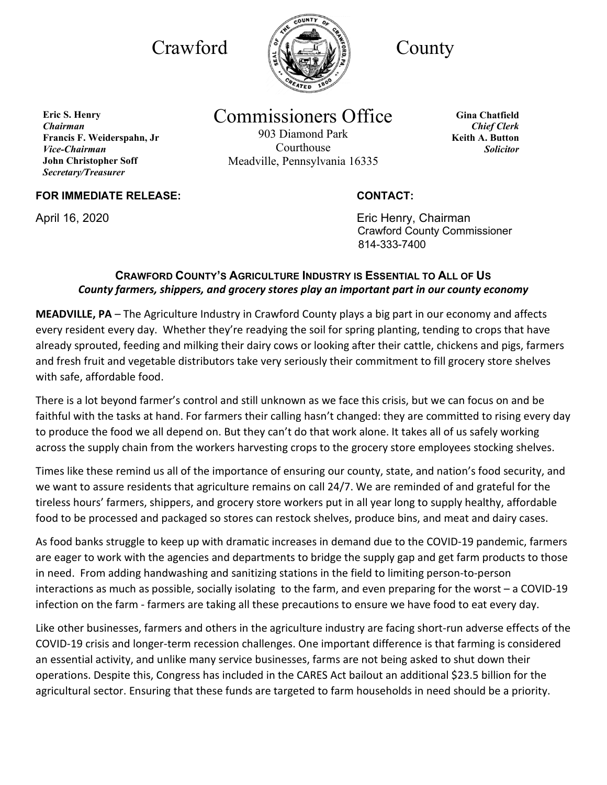

# Commissioners Office

903 Diamond Park Courthouse Meadville, Pennsylvania 16335

**Gina Chatfield** *Chief Clerk* **Keith A. Button** *Solicitor*

## **FOR IMMEDIATE RELEASE: CONTACT:**

**Francis F. Weiderspahn, Jr** 

**John Christopher Soff** *Secretary/Treasurer*

**Eric S. Henry** *Chairman*

*Vice-Chairman*

April 16, 2020 **April 16, 2020 Existence 16, 2020 Existence 2018 Existence 2018**  Crawford County Commissioner 814-333-7400

### **CRAWFORD COUNTY'S AGRICULTURE INDUSTRY IS ESSENTIAL TO ALL OF US** *County farmers, shippers, and grocery stores play an important part in our county economy*

**MEADVILLE, PA** – The Agriculture Industry in Crawford County plays a big part in our economy and affects every resident every day. Whether they're readying the soil for spring planting, tending to crops that have already sprouted, feeding and milking their dairy cows or looking after their cattle, chickens and pigs, farmers and fresh fruit and vegetable distributors take very seriously their commitment to fill grocery store shelves with safe, affordable food.

There is a lot beyond farmer's control and still unknown as we face this crisis, but we can focus on and be faithful with the tasks at hand. For farmers their calling hasn't changed: they are committed to rising every day to produce the food we all depend on. But they can't do that work alone. It takes all of us safely working across the supply chain from the workers harvesting crops to the grocery store employees stocking shelves.

Times like these remind us all of the importance of ensuring our county, state, and nation's food security, and we want to assure residents that agriculture remains on call 24/7. We are reminded of and grateful for the tireless hours' farmers, shippers, and grocery store workers put in all year long to supply healthy, affordable food to be processed and packaged so stores can restock shelves, produce bins, and meat and dairy cases.

As food banks struggle to keep up with dramatic increases in demand due to the COVID-19 pandemic, farmers are eager to work with the agencies and departments to bridge the supply gap and get farm products to those in need. From adding handwashing and sanitizing stations in the field to limiting person-to-person interactions as much as possible, socially isolating to the farm, and even preparing for the worst – a COVID-19 infection on the farm - farmers are taking all these precautions to ensure we have food to eat every day.

Like other businesses, farmers and others in the agriculture industry are facing short-run adverse effects of the COVID-19 crisis and longer-term recession challenges. One important difference is that farming is considered an essential activity, and unlike many service businesses, farms are not being asked to shut down their operations. Despite this, Congress has included in the CARES Act bailout an additional \$23.5 billion for the agricultural sector. Ensuring that these funds are targeted to farm households in need should be a priority.